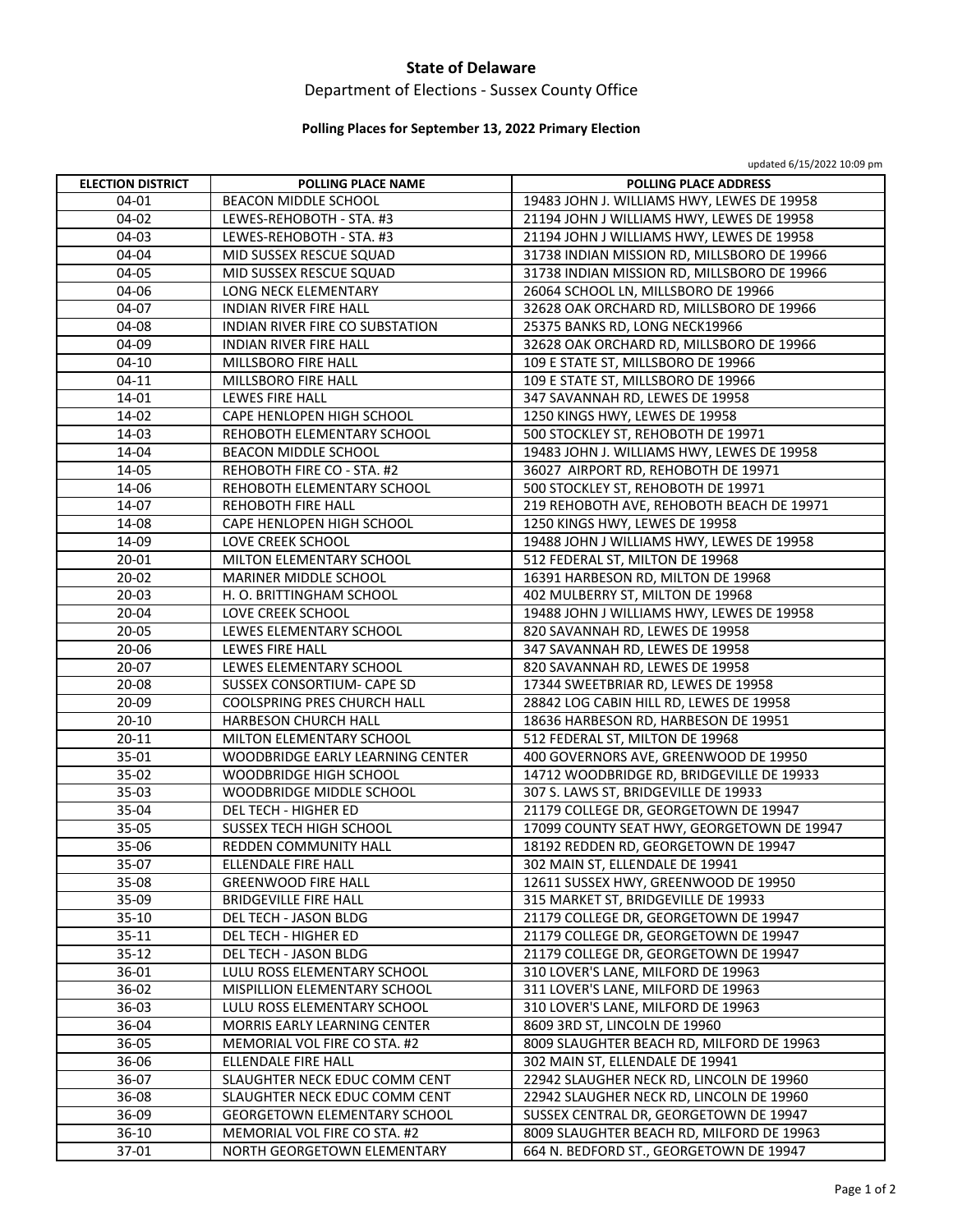### **State of Delaware**

# Department of Elections ‐ Sussex County Office

## **Polling Places for September 13, 2022 Primary Election**

updated 6/15/2022 10:09 pm

| <b>ELECTION DISTRICT</b> | <b>POLLING PLACE NAME</b>           | POLLING PLACE ADDRESS                       |
|--------------------------|-------------------------------------|---------------------------------------------|
| 04-01                    | <b>BEACON MIDDLE SCHOOL</b>         | 19483 JOHN J. WILLIAMS HWY, LEWES DE 19958  |
| 04-02                    | LEWES-REHOBOTH - STA. #3            | 21194 JOHN J WILLIAMS HWY, LEWES DE 19958   |
| 04-03                    | LEWES-REHOBOTH - STA. #3            | 21194 JOHN J WILLIAMS HWY, LEWES DE 19958   |
| 04-04                    | MID SUSSEX RESCUE SQUAD             | 31738 INDIAN MISSION RD, MILLSBORO DE 19966 |
| 04-05                    | MID SUSSEX RESCUE SQUAD             | 31738 INDIAN MISSION RD, MILLSBORO DE 19966 |
| 04-06                    | LONG NECK ELEMENTARY                | 26064 SCHOOL LN, MILLSBORO DE 19966         |
| 04-07                    | <b>INDIAN RIVER FIRE HALL</b>       | 32628 OAK ORCHARD RD, MILLSBORO DE 19966    |
| 04-08                    | INDIAN RIVER FIRE CO SUBSTATION     | 25375 BANKS RD, LONG NECK19966              |
| 04-09                    | <b>INDIAN RIVER FIRE HALL</b>       | 32628 OAK ORCHARD RD, MILLSBORO DE 19966    |
| $04-10$                  | MILLSBORO FIRE HALL                 | 109 E STATE ST, MILLSBORO DE 19966          |
| 04-11                    | MILLSBORO FIRE HALL                 | 109 E STATE ST, MILLSBORO DE 19966          |
| 14-01                    | LEWES FIRE HALL                     | 347 SAVANNAH RD, LEWES DE 19958             |
| 14-02                    | CAPE HENLOPEN HIGH SCHOOL           | 1250 KINGS HWY, LEWES DE 19958              |
| 14-03                    | REHOBOTH ELEMENTARY SCHOOL          | 500 STOCKLEY ST, REHOBOTH DE 19971          |
| 14-04                    | <b>BEACON MIDDLE SCHOOL</b>         | 19483 JOHN J. WILLIAMS HWY, LEWES DE 19958  |
| 14-05                    | REHOBOTH FIRE CO - STA. #2          | 36027 AIRPORT RD, REHOBOTH DE 19971         |
| 14-06                    | REHOBOTH ELEMENTARY SCHOOL          | 500 STOCKLEY ST, REHOBOTH DE 19971          |
| 14-07                    | REHOBOTH FIRE HALL                  | 219 REHOBOTH AVE, REHOBOTH BEACH DE 19971   |
| 14-08                    | CAPE HENLOPEN HIGH SCHOOL           | 1250 KINGS HWY, LEWES DE 19958              |
| 14-09                    | LOVE CREEK SCHOOL                   | 19488 JOHN J WILLIAMS HWY, LEWES DE 19958   |
| 20-01                    | MILTON ELEMENTARY SCHOOL            | 512 FEDERAL ST, MILTON DE 19968             |
| $20 - 02$                | MARINER MIDDLE SCHOOL               | 16391 HARBESON RD, MILTON DE 19968          |
| 20-03                    | H. O. BRITTINGHAM SCHOOL            | 402 MULBERRY ST, MILTON DE 19968            |
| 20-04                    | LOVE CREEK SCHOOL                   | 19488 JOHN J WILLIAMS HWY, LEWES DE 19958   |
| 20-05                    | LEWES ELEMENTARY SCHOOL             | 820 SAVANNAH RD, LEWES DE 19958             |
| 20-06                    | LEWES FIRE HALL                     | 347 SAVANNAH RD, LEWES DE 19958             |
| 20-07                    | LEWES ELEMENTARY SCHOOL             | 820 SAVANNAH RD, LEWES DE 19958             |
| 20-08                    | SUSSEX CONSORTIUM- CAPE SD          | 17344 SWEETBRIAR RD, LEWES DE 19958         |
| 20-09                    | COOLSPRING PRES CHURCH HALL         | 28842 LOG CABIN HILL RD, LEWES DE 19958     |
| $20 - 10$                | HARBESON CHURCH HALL                | 18636 HARBESON RD, HARBESON DE 19951        |
| $20 - 11$                | MILTON ELEMENTARY SCHOOL            | 512 FEDERAL ST, MILTON DE 19968             |
| 35-01                    | WOODBRIDGE EARLY LEARNING CENTER    | 400 GOVERNORS AVE, GREENWOOD DE 19950       |
| 35-02                    | WOODBRIDGE HIGH SCHOOL              | 14712 WOODBRIDGE RD, BRIDGEVILLE DE 19933   |
| 35-03                    | WOODBRIDGE MIDDLE SCHOOL            | 307 S. LAWS ST, BRIDGEVILLE DE 19933        |
| 35-04                    | DEL TECH - HIGHER ED                | 21179 COLLEGE DR, GEORGETOWN DE 19947       |
| 35-05                    | <b>SUSSEX TECH HIGH SCHOOL</b>      | 17099 COUNTY SEAT HWY, GEORGETOWN DE 19947  |
| 35-06                    | <b>REDDEN COMMUNITY HALL</b>        | 18192 REDDEN RD, GEORGETOWN DE 19947        |
| 35-07                    | <b>ELLENDALE FIRE HALL</b>          | 302 MAIN ST. ELLENDALE DE 19941             |
| 35-08                    | <b>GREENWOOD FIRE HALL</b>          | 12611 SUSSEX HWY, GREENWOOD DE 19950        |
| 35-09                    | <b>BRIDGEVILLE FIRE HALL</b>        | 315 MARKET ST, BRIDGEVILLE DE 19933         |
| $35 - 10$                | DEL TECH - JASON BLDG               | 21179 COLLEGE DR, GEORGETOWN DE 19947       |
| $35 - 11$                | DEL TECH - HIGHER ED                | 21179 COLLEGE DR, GEORGETOWN DE 19947       |
| $35 - 12$                | DEL TECH - JASON BLDG               | 21179 COLLEGE DR, GEORGETOWN DE 19947       |
| 36-01                    | LULU ROSS ELEMENTARY SCHOOL         | 310 LOVER'S LANE, MILFORD DE 19963          |
| 36-02                    | MISPILLION ELEMENTARY SCHOOL        | 311 LOVER'S LANE, MILFORD DE 19963          |
| 36-03                    | LULU ROSS ELEMENTARY SCHOOL         | 310 LOVER'S LANE, MILFORD DE 19963          |
| 36-04                    | MORRIS EARLY LEARNING CENTER        | 8609 3RD ST, LINCOLN DE 19960               |
| 36-05                    | MEMORIAL VOL FIRE CO STA. #2        | 8009 SLAUGHTER BEACH RD, MILFORD DE 19963   |
| 36-06                    | ELLENDALE FIRE HALL                 | 302 MAIN ST, ELLENDALE DE 19941             |
| 36-07                    | SLAUGHTER NECK EDUC COMM CENT       | 22942 SLAUGHER NECK RD, LINCOLN DE 19960    |
| 36-08                    | SLAUGHTER NECK EDUC COMM CENT       | 22942 SLAUGHER NECK RD, LINCOLN DE 19960    |
| 36-09                    | <b>GEORGETOWN ELEMENTARY SCHOOL</b> | SUSSEX CENTRAL DR, GEORGETOWN DE 19947      |
| $36-10$                  | MEMORIAL VOL FIRE CO STA. #2        | 8009 SLAUGHTER BEACH RD, MILFORD DE 19963   |
| 37-01                    | NORTH GEORGETOWN ELEMENTARY         | 664 N. BEDFORD ST., GEORGETOWN DE 19947     |